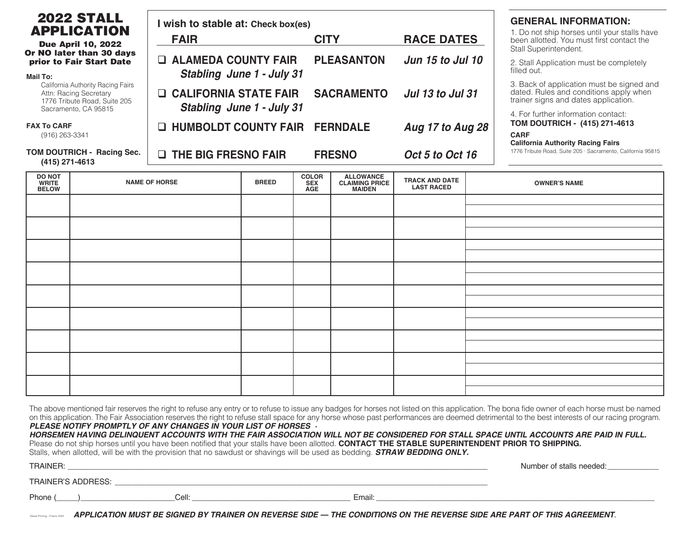|                                                                                                                                                                                              | <b>2022 STALL</b><br><b>APPLICATION</b> | I wish to stable at: Check box(es)                                                      |              |                                          |                                                            |                                            |                                                                                     | <b>GENERAL INFORMATION:</b>                                                                                                 |  |
|----------------------------------------------------------------------------------------------------------------------------------------------------------------------------------------------|-----------------------------------------|-----------------------------------------------------------------------------------------|--------------|------------------------------------------|------------------------------------------------------------|--------------------------------------------|-------------------------------------------------------------------------------------|-----------------------------------------------------------------------------------------------------------------------------|--|
| <b>Due April 10, 2022</b><br>Or NO later than 30 days<br>prior to Fair Start Date<br>Mail To:<br>California Authority Racing Fairs<br>Attn: Racing Secretary<br>1776 Tribute Road, Suite 205 |                                         | <b>FAIR</b>                                                                             |              | <b>CITY</b>                              |                                                            | <b>RACE DATES</b>                          |                                                                                     | 1. Do not ship horses until your stalls have<br>been allotted. You must first contact the<br>Stall Superintendent.          |  |
|                                                                                                                                                                                              |                                         | $\Box$ ALAMEDA COUNTY FAIR<br><b>Stabling June 1 - July 31</b>                          |              |                                          | <b>PLEASANTON</b>                                          | <b>Jun 15 to Jul 10</b>                    |                                                                                     | 2. Stall Application must be completely<br>filled out.                                                                      |  |
|                                                                                                                                                                                              |                                         | <b>CALIFORNIA STATE FAIR</b><br>ш.                                                      |              |                                          | <b>SACRAMENTO</b>                                          | <b>Jul 13 to Jul 31</b>                    |                                                                                     | 3. Back of application must be signed and<br>dated. Rules and conditions apply when<br>trainer signs and dates application. |  |
| Sacramento, CA 95815<br><b>FAX To CARF</b><br>(916) 263-3341                                                                                                                                 |                                         | <b>Stabling June 1 - July 31</b><br><b>HUMBOLDT COUNTY FAIR</b><br><b>FERNDALE</b><br>ப |              |                                          | Aug 17 to Aug 28                                           |                                            | 4. For further information contact:<br>TOM DOUTRICH - (415) 271-4613<br><b>CARF</b> |                                                                                                                             |  |
| TOM DOUTRICH - Racing Sec.<br>$(415)$ 271-4613                                                                                                                                               |                                         | <b>Q THE BIG FRESNO FAIR</b><br><b>FRESNO</b>                                           |              |                                          |                                                            | Oct 5 to Oct 16                            |                                                                                     | <b>California Authority Racing Fairs</b><br>1776 Tribute Road, Suite 205 · Sacramento, California 95815                     |  |
| <b>DO NOT</b><br><b>WRITE</b><br><b>BELOW</b>                                                                                                                                                |                                         | <b>NAME OF HORSE</b>                                                                    | <b>BREED</b> | <b>COLOR</b><br><b>SEX</b><br><b>AGE</b> | <b>ALLOWANCE</b><br><b>CLAIMING PRICE</b><br><b>MAIDEN</b> | <b>TRACK AND DATE</b><br><b>LAST RACED</b> |                                                                                     | <b>OWNER'S NAME</b>                                                                                                         |  |
|                                                                                                                                                                                              |                                         |                                                                                         |              |                                          |                                                            |                                            |                                                                                     |                                                                                                                             |  |
|                                                                                                                                                                                              |                                         |                                                                                         |              |                                          |                                                            |                                            |                                                                                     |                                                                                                                             |  |

| The above mentioned fair reserves the right to refuse any entry or to refuse to issue any badges for horses not listed on this application. The bona fide owner of each horse must be named  |
|----------------------------------------------------------------------------------------------------------------------------------------------------------------------------------------------|
| on this application. The Fair Association reserves the right to refuse stall space for any horse whose past performances are deemed detrimental to the best interests of our racing program. |
| PLEASE NOTIFY PROMPTLY OF ANY CHANGES IN YOUR LIST OF HORSES $\, \cdot \,$                                                                                                                   |

*HORSEMEN HAVING DELINQUENT ACCOUNTS WITH THE FAIR ASSOCIATION WILL NOT BE CONSIDERED FOR STALL SPACE UNTIL ACCOUNTS ARE PAID IN FULL.* Please do not ship horses until you have been notified that your stalls have been allotted. **CONTACT THE STABLE SUPERINTENDENT PRIOR TO SHIPPING.** Stalls, when allotted, will be with the provision that no sawdust or shavings will be used as bedding. *STRAW BEDDING ONLY.* 

| TRAINER:                                                                                                               |        | Number of stalls needed: |  |  |  |  |  |  |
|------------------------------------------------------------------------------------------------------------------------|--------|--------------------------|--|--|--|--|--|--|
| TRAINER'S ADDRESS:                                                                                                     |        |                          |  |  |  |  |  |  |
| <b>Phone</b><br>Cell:                                                                                                  | Email: |                          |  |  |  |  |  |  |
| APPLICATION MUST BE SIGNED BY TRAINER ON REVERSE SIDE — THE CONDITIONS ON THE REVERSE SIDE ARE PART OF THIS AGREEMENT. |        |                          |  |  |  |  |  |  |